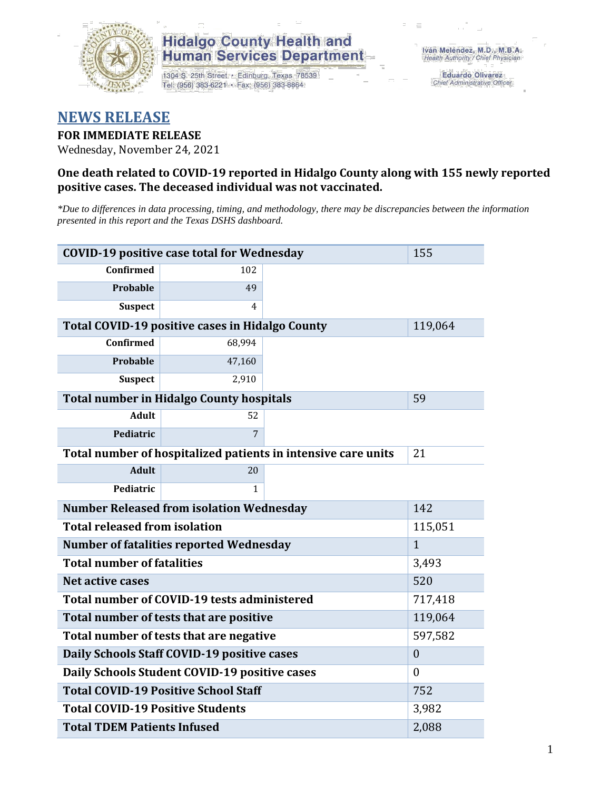

### **Hidalgo County Health and Human Services Department**

1304 S. 25th Street · Edinburg, Texas 78539 Tel: (956) 383-6221 · Fax: (956) 383-8864

**Eduardo Olivarez** Chief Administrative Officer

## **NEWS RELEASE**

#### **FOR IMMEDIATE RELEASE**

Wednesday, November 24, 2021

#### **One death related to COVID-19 reported in Hidalgo County along with 155 newly reported positive cases. The deceased individual was not vaccinated.**

*\*Due to differences in data processing, timing, and methodology, there may be discrepancies between the information presented in this report and the Texas DSHS dashboard.*

| <b>COVID-19 positive case total for Wednesday</b> | 155                                                    |                                                               |         |  |  |  |
|---------------------------------------------------|--------------------------------------------------------|---------------------------------------------------------------|---------|--|--|--|
| <b>Confirmed</b>                                  | 102                                                    |                                                               |         |  |  |  |
| <b>Probable</b>                                   | 49                                                     |                                                               |         |  |  |  |
| <b>Suspect</b>                                    | 4                                                      |                                                               |         |  |  |  |
|                                                   | <b>Total COVID-19 positive cases in Hidalgo County</b> |                                                               | 119,064 |  |  |  |
| <b>Confirmed</b>                                  | 68,994                                                 |                                                               |         |  |  |  |
| <b>Probable</b>                                   | 47,160                                                 |                                                               |         |  |  |  |
| <b>Suspect</b>                                    | 2,910                                                  |                                                               |         |  |  |  |
|                                                   | <b>Total number in Hidalgo County hospitals</b>        |                                                               | 59      |  |  |  |
| <b>Adult</b>                                      | 52                                                     |                                                               |         |  |  |  |
| Pediatric                                         | 7                                                      |                                                               |         |  |  |  |
|                                                   |                                                        | Total number of hospitalized patients in intensive care units | 21      |  |  |  |
| <b>Adult</b>                                      | 20                                                     |                                                               |         |  |  |  |
| Pediatric                                         | 1                                                      |                                                               |         |  |  |  |
| <b>Number Released from isolation Wednesday</b>   | 142                                                    |                                                               |         |  |  |  |
| <b>Total released from isolation</b><br>115,051   |                                                        |                                                               |         |  |  |  |
| <b>Number of fatalities reported Wednesday</b>    | $\mathbf{1}$                                           |                                                               |         |  |  |  |
| <b>Total number of fatalities</b>                 | 3,493                                                  |                                                               |         |  |  |  |
| <b>Net active cases</b>                           |                                                        | 520                                                           |         |  |  |  |
| Total number of COVID-19 tests administered       |                                                        | 717,418                                                       |         |  |  |  |
| Total number of tests that are positive           | 119,064                                                |                                                               |         |  |  |  |
| Total number of tests that are negative           | 597,582                                                |                                                               |         |  |  |  |
| Daily Schools Staff COVID-19 positive cases       | $\boldsymbol{0}$                                       |                                                               |         |  |  |  |
| Daily Schools Student COVID-19 positive cases     | $\boldsymbol{0}$                                       |                                                               |         |  |  |  |
| <b>Total COVID-19 Positive School Staff</b>       | 752                                                    |                                                               |         |  |  |  |
| <b>Total COVID-19 Positive Students</b>           | 3,982                                                  |                                                               |         |  |  |  |
| <b>Total TDEM Patients Infused</b>                | 2,088                                                  |                                                               |         |  |  |  |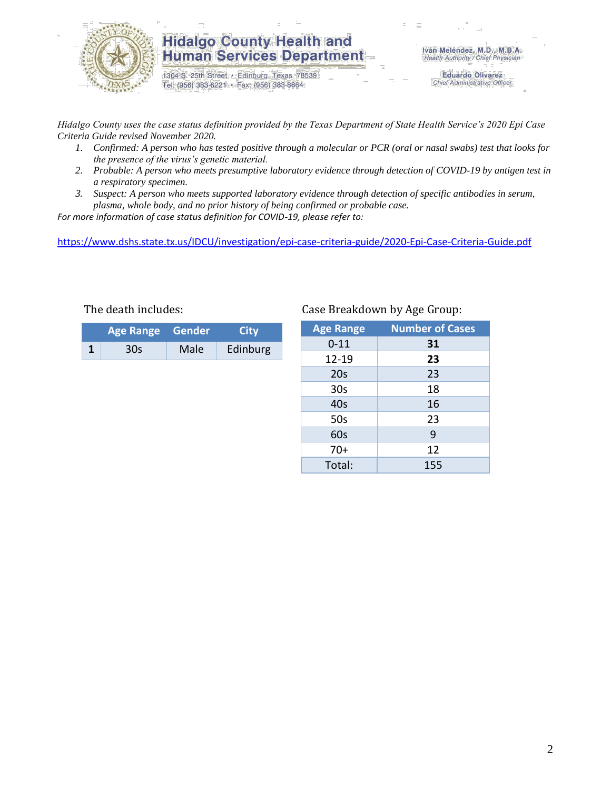

### **Hidalgo County Health and Human Services Department**

1304 S. 25th Street · Edinburg, Texas 78539 Tel: (956) 383-6221 · Fax: (956) 383-8864

Iván Meléndez, M.D., M.B.A. Health Authority / Chief Physician

> **Eduardo Olivarez** Chief Administrative Officer

*Hidalgo County uses the case status definition provided by the Texas Department of State Health Service's 2020 Epi Case Criteria Guide revised November 2020.*

- *1. Confirmed: A person who has tested positive through a molecular or PCR (oral or nasal swabs) test that looks for the presence of the virus's genetic material.*
- *2. Probable: A person who meets presumptive laboratory evidence through detection of COVID-19 by antigen test in a respiratory specimen.*
- *3. Suspect: A person who meets supported laboratory evidence through detection of specific antibodies in serum, plasma, whole body, and no prior history of being confirmed or probable case.*

*For more information of case status definition for COVID-19, please refer to:*

<https://www.dshs.state.tx.us/IDCU/investigation/epi-case-criteria-guide/2020-Epi-Case-Criteria-Guide.pdf>

| Age Range Gender |     |      | City     |  |
|------------------|-----|------|----------|--|
|                  | 30s | Male | Edinburg |  |

#### The death includes: Case Breakdown by Age Group:

| <b>Age Range</b> | <b>Number of Cases</b> |
|------------------|------------------------|
| $0 - 11$         | 31                     |
| 12-19            | 23                     |
| 20s              | 23                     |
| 30 <sub>s</sub>  | 18                     |
| 40s              | 16                     |
| 50s              | 23                     |
| 60s              | 9                      |
| $70+$            | 12                     |
| Total:           | 155                    |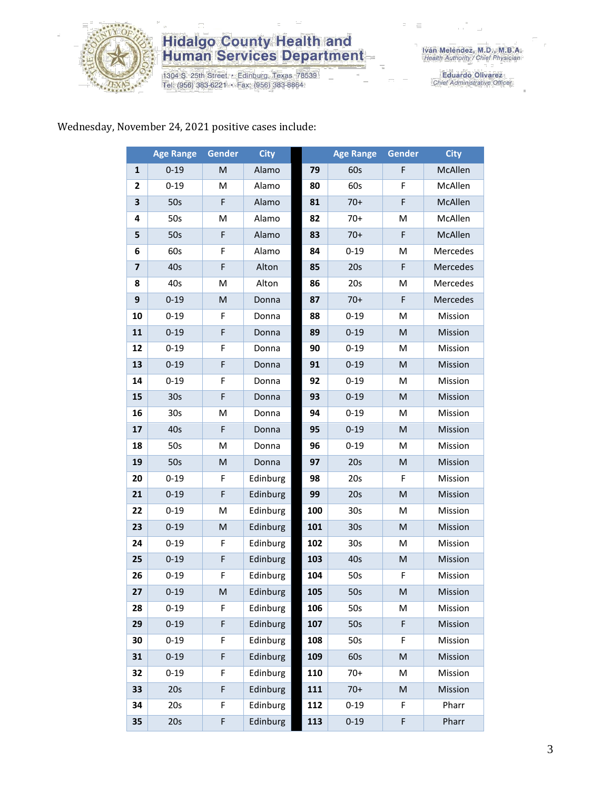

# **Hidalgo County Health and<br>Human Services Department**

1304 S. 25th Street · Edinburg, Texas 78539<br>Tel: (956) 383-6221 · Fax: (956) 383-8864

Iván Meléndez, M.D., M.B.A.<br>Health Authority / Chief Physician

Eduardo Olivarez<br>Chief Administrative Officer

### Wednesday, November 24, 2021 positive cases include:

|                         | <b>Age Range</b> | Gender | <b>City</b> |     | <b>Age Range</b> | <b>Gender</b>                                                                                              | <b>City</b>    |
|-------------------------|------------------|--------|-------------|-----|------------------|------------------------------------------------------------------------------------------------------------|----------------|
| $\mathbf{1}$            | $0 - 19$         | M      | Alamo       | 79  | 60s              | F                                                                                                          | McAllen        |
| 2                       | $0 - 19$         | M      | Alamo       | 80  | 60s              | F                                                                                                          | McAllen        |
| 3                       | 50s              | F      | Alamo       | 81  | $70+$            | F                                                                                                          | McAllen        |
| 4                       | 50s              | M      | Alamo       | 82  | $70+$            | M                                                                                                          | McAllen        |
| 5                       | 50s              | F      | Alamo       | 83  | $70+$            | F                                                                                                          | McAllen        |
| 6                       | 60s              | F      | Alamo       | 84  | $0 - 19$         | M                                                                                                          | Mercedes       |
| $\overline{\mathbf{z}}$ | 40s              | F      | Alton       | 85  | 20s              | F                                                                                                          | Mercedes       |
| 8                       | 40s              | M      | Alton       | 86  | 20s              | M                                                                                                          | Mercedes       |
| 9                       | $0 - 19$         | M      | Donna       | 87  | $70+$            | F                                                                                                          | Mercedes       |
| 10                      | $0 - 19$         | F      | Donna       | 88  | $0 - 19$         | M                                                                                                          | Mission        |
| 11                      | $0 - 19$         | F      | Donna       | 89  | $0 - 19$         | ${\sf M}$                                                                                                  | Mission        |
| 12                      | $0 - 19$         | F      | Donna       | 90  | $0 - 19$         | M                                                                                                          | Mission        |
| 13                      | $0 - 19$         | F      | Donna       | 91  | $0 - 19$         | M                                                                                                          | Mission        |
| 14                      | $0 - 19$         | F      | Donna       | 92  | $0 - 19$         | M                                                                                                          | Mission        |
| 15                      | 30s              | F      | Donna       | 93  | $0 - 19$         | $\mathsf{M}% _{T}=\mathsf{M}_{T}\!\left( a,b\right) ,\ \mathsf{M}_{T}=\mathsf{M}_{T}\!\left( a,b\right) ,$ | Mission        |
| 16                      | 30 <sub>s</sub>  | M      | Donna       | 94  | $0 - 19$         | M                                                                                                          | Mission        |
| 17                      | 40s              | F      | Donna       | 95  | $0 - 19$         | ${\sf M}$                                                                                                  | Mission        |
| 18                      | 50s              | M      | Donna       | 96  | $0 - 19$         | M                                                                                                          | Mission        |
| 19                      | 50s              | M      | Donna       | 97  | 20s              | M                                                                                                          | Mission        |
| 20                      | $0 - 19$         | F      | Edinburg    | 98  | 20s              | F                                                                                                          | Mission        |
| 21                      | $0 - 19$         | F      | Edinburg    | 99  | 20s              | ${\sf M}$                                                                                                  | Mission        |
| 22                      | $0 - 19$         | M      | Edinburg    | 100 | 30 <sub>s</sub>  | M                                                                                                          | Mission        |
| 23                      | $0 - 19$         | M      | Edinburg    | 101 | 30 <sub>s</sub>  | ${\sf M}$                                                                                                  | Mission        |
| 24                      | $0 - 19$         | F      | Edinburg    | 102 | 30 <sub>s</sub>  | M                                                                                                          | Mission        |
| 25                      | $0 - 19$         | F      | Edinburg    | 103 | 40s              | ${\sf M}$                                                                                                  | Mission        |
| 26                      | $0 - 19$         | F      | Edinburg    | 104 | 50s              | F                                                                                                          | Mission        |
| 27                      | $0 - 19$         | M      | Edinburg    | 105 | 50s              | M                                                                                                          | <b>Mission</b> |
| 28                      | $0 - 19$         | F      | Edinburg    | 106 | 50s              | M                                                                                                          | Mission        |
| 29                      | $0 - 19$         | F      | Edinburg    | 107 | 50s              | $\mathsf F$                                                                                                | Mission        |
| 30                      | $0 - 19$         | F      | Edinburg    | 108 | 50s              | F                                                                                                          | Mission        |
| 31                      | $0 - 19$         | F      | Edinburg    | 109 | 60s              | ${\sf M}$                                                                                                  | Mission        |
| 32                      | $0 - 19$         | F      | Edinburg    | 110 | $70+$            | M                                                                                                          | Mission        |
| 33                      | 20s              | F      | Edinburg    | 111 | $70+$            | ${\sf M}$                                                                                                  | Mission        |
| 34                      | 20s              | F      | Edinburg    | 112 | $0 - 19$         | F                                                                                                          | Pharr          |
| 35                      | 20s              | F      | Edinburg    | 113 | $0 - 19$         | F                                                                                                          | Pharr          |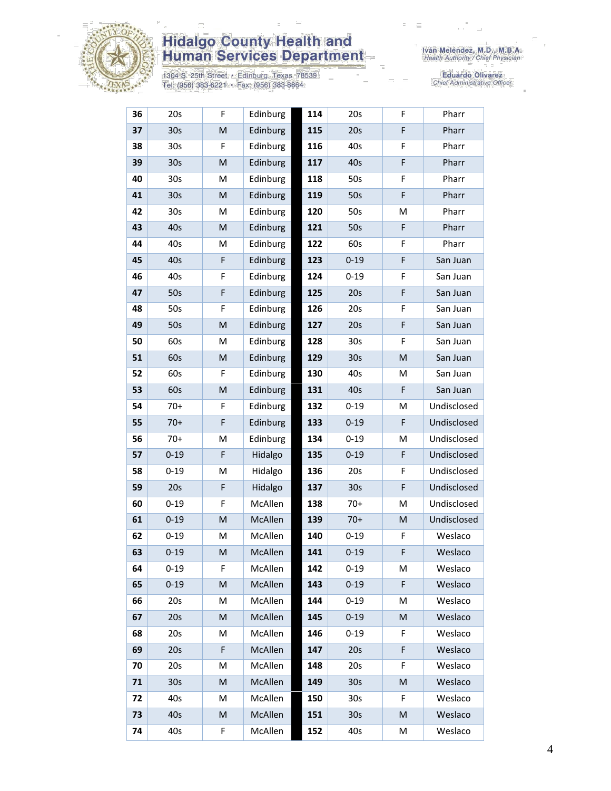

# **Hidalgo County Health and<br>Human Services Department**

1304 S. 25th Street • Edinburg, Texas 78539<br>Tel: (956) 383-6221 • Fax: (956) 383-8864

Eduardo Olivarez<br>Chief Administrative Officer

| 36 | 20s             | F | Edinburg | 114 | 20s             | F                                                                                                          | Pharr       |
|----|-----------------|---|----------|-----|-----------------|------------------------------------------------------------------------------------------------------------|-------------|
| 37 | 30s             | M | Edinburg | 115 | 20s             | $\mathsf F$                                                                                                | Pharr       |
| 38 | 30 <sub>s</sub> | F | Edinburg | 116 | 40s             | F                                                                                                          | Pharr       |
| 39 | 30 <sub>s</sub> | M | Edinburg | 117 | 40s             | $\mathsf F$                                                                                                | Pharr       |
| 40 | 30 <sub>s</sub> | M | Edinburg | 118 | 50s             | F                                                                                                          | Pharr       |
| 41 | 30 <sub>s</sub> | M | Edinburg | 119 | 50s             | $\mathsf F$                                                                                                | Pharr       |
| 42 | 30 <sub>s</sub> | M | Edinburg | 120 | 50s             | M                                                                                                          | Pharr       |
| 43 | 40s             | M | Edinburg | 121 | 50s             | $\mathsf F$                                                                                                | Pharr       |
| 44 | 40s             | M | Edinburg | 122 | 60s             | F                                                                                                          | Pharr       |
| 45 | 40s             | F | Edinburg | 123 | $0 - 19$        | F                                                                                                          | San Juan    |
| 46 | 40s             | F | Edinburg | 124 | $0 - 19$        | F                                                                                                          | San Juan    |
| 47 | 50s             | F | Edinburg | 125 | 20s             | $\mathsf F$                                                                                                | San Juan    |
| 48 | 50s             | F | Edinburg | 126 | 20s             | F                                                                                                          | San Juan    |
| 49 | 50s             | M | Edinburg | 127 | 20s             | $\mathsf F$                                                                                                | San Juan    |
| 50 | 60s             | M | Edinburg | 128 | 30 <sub>s</sub> | F                                                                                                          | San Juan    |
| 51 | 60s             | M | Edinburg | 129 | 30 <sub>s</sub> | $\mathsf{M}% _{T}=\mathsf{M}_{T}\!\left( a,b\right) ,\ \mathsf{M}_{T}=\mathsf{M}_{T}\!\left( a,b\right) ,$ | San Juan    |
| 52 | 60s             | F | Edinburg | 130 | 40s             | M                                                                                                          | San Juan    |
| 53 | 60s             | M | Edinburg | 131 | 40s             | F                                                                                                          | San Juan    |
| 54 | $70+$           | F | Edinburg | 132 | $0 - 19$        | M                                                                                                          | Undisclosed |
| 55 | $70+$           | F | Edinburg | 133 | $0 - 19$        | F                                                                                                          | Undisclosed |
| 56 | $70+$           | M | Edinburg | 134 | $0 - 19$        | M                                                                                                          | Undisclosed |
| 57 | $0 - 19$        | F | Hidalgo  | 135 | $0 - 19$        | $\mathsf F$                                                                                                | Undisclosed |
| 58 | $0 - 19$        | M | Hidalgo  | 136 | 20s             | F                                                                                                          | Undisclosed |
| 59 | 20s             | F | Hidalgo  | 137 | 30 <sub>s</sub> | F                                                                                                          | Undisclosed |
| 60 | $0 - 19$        | F | McAllen  | 138 | $70+$           | M                                                                                                          | Undisclosed |
| 61 | $0 - 19$        | M | McAllen  | 139 | $70+$           | ${\sf M}$                                                                                                  | Undisclosed |
| 62 | $0 - 19$        | M | McAllen  | 140 | $0 - 19$        | F                                                                                                          | Weslaco     |
| 63 | $0 - 19$        | M | McAllen  | 141 | $0 - 19$        | F                                                                                                          | Weslaco     |
| 64 | $0 - 19$        | F | McAllen  | 142 | $0 - 19$        | м                                                                                                          | Weslaco     |
| 65 | $0 - 19$        | M | McAllen  | 143 | $0 - 19$        | F                                                                                                          | Weslaco     |
| 66 | 20s             | M | McAllen  | 144 | $0 - 19$        | M                                                                                                          | Weslaco     |
| 67 | 20s             | M | McAllen  | 145 | $0 - 19$        | ${\sf M}$                                                                                                  | Weslaco     |
| 68 | 20s             | M | McAllen  | 146 | $0 - 19$        | F                                                                                                          | Weslaco     |
| 69 | 20s             | F | McAllen  | 147 | 20s             | F                                                                                                          | Weslaco     |
| 70 | 20s             | M | McAllen  | 148 | 20s             | F                                                                                                          | Weslaco     |
| 71 | 30 <sub>s</sub> | M | McAllen  | 149 | 30 <sub>s</sub> | M                                                                                                          | Weslaco     |
| 72 | 40s             | Μ | McAllen  | 150 | 30s             | F                                                                                                          | Weslaco     |
| 73 | 40s             | M | McAllen  | 151 | 30s             | M                                                                                                          | Weslaco     |
| 74 | 40s             | F | McAllen  | 152 | 40s             | M                                                                                                          | Weslaco     |